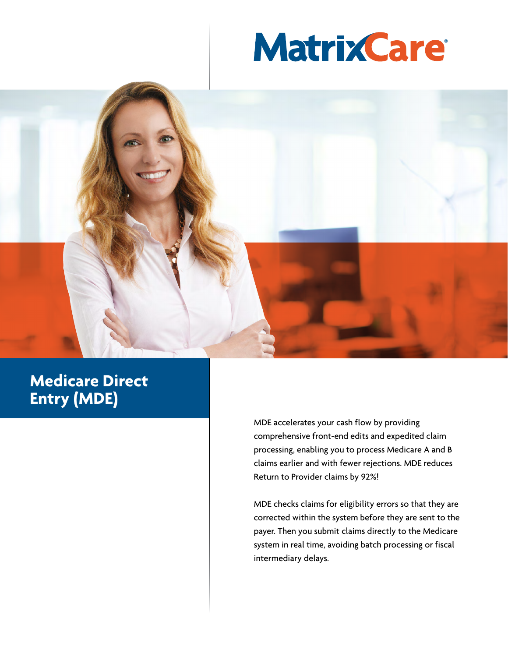



## **Medicare Direct Entry (MDE)**

MDE accelerates your cash flow by providing comprehensive front-end edits and expedited claim processing, enabling you to process Medicare A and B claims earlier and with fewer rejections. MDE reduces Return to Provider claims by 92%!

MDE checks claims for eligibility errors so that they are corrected within the system before they are sent to the payer. Then you submit claims directly to the Medicare system in real time, avoiding batch processing or fiscal intermediary delays.